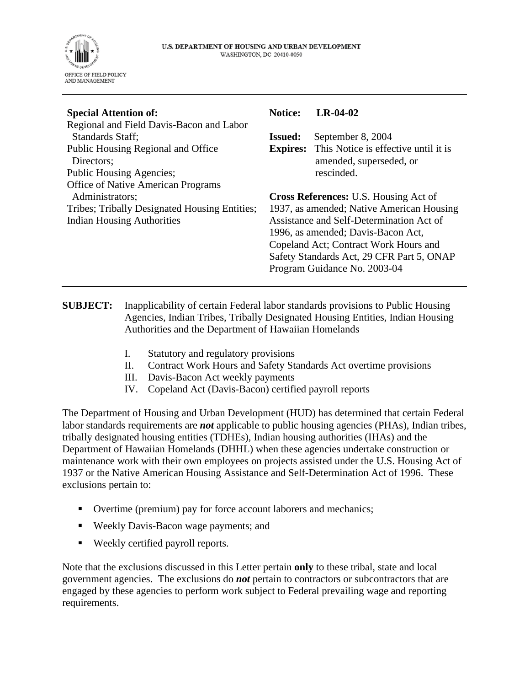

| <b>Special Attention of:</b>                  | <b>Notice:</b>                                                                                                          | $LR-04-02$                                           |
|-----------------------------------------------|-------------------------------------------------------------------------------------------------------------------------|------------------------------------------------------|
| Regional and Field Davis-Bacon and Labor      |                                                                                                                         |                                                      |
| Standards Staff:                              | <b>Issued:</b>                                                                                                          | September 8, 2004                                    |
| Public Housing Regional and Office            |                                                                                                                         | <b>Expires:</b> This Notice is effective until it is |
| Directors;                                    |                                                                                                                         | amended, superseded, or                              |
| Public Housing Agencies;                      |                                                                                                                         | rescinded.                                           |
| <b>Office of Native American Programs</b>     |                                                                                                                         |                                                      |
| Administrators;                               | <b>Cross References: U.S. Housing Act of</b>                                                                            |                                                      |
| Tribes; Tribally Designated Housing Entities; | 1937, as amended; Native American Housing                                                                               |                                                      |
| <b>Indian Housing Authorities</b>             | Assistance and Self-Determination Act of<br>1996, as amended; Davis-Bacon Act,<br>Copeland Act; Contract Work Hours and |                                                      |
|                                               |                                                                                                                         |                                                      |
|                                               |                                                                                                                         |                                                      |
|                                               |                                                                                                                         | Safety Standards Act, 29 CFR Part 5, ONAP            |
|                                               |                                                                                                                         | Program Guidance No. 2003-04                         |
|                                               |                                                                                                                         |                                                      |

**SUBJECT:** Inapplicability of certain Federal labor standards provisions to Public Housing Agencies, Indian Tribes, Tribally Designated Housing Entities, Indian Housing Authorities and the Department of Hawaiian Homelands

- I. Statutory and regulatory provisions
- II. Contract Work Hours and Safety Standards Act overtime provisions
- III. Davis-Bacon Act weekly payments
- IV. Copeland Act (Davis-Bacon) certified payroll reports

The Department of Housing and Urban Development (HUD) has determined that certain Federal labor standards requirements are *not* applicable to public housing agencies (PHAs), Indian tribes, tribally designated housing entities (TDHEs), Indian housing authorities (IHAs) and the Department of Hawaiian Homelands (DHHL) when these agencies undertake construction or maintenance work with their own employees on projects assisted under the U.S. Housing Act of 1937 or the Native American Housing Assistance and Self-Determination Act of 1996. These exclusions pertain to:

- Overtime (premium) pay for force account laborers and mechanics;
- Weekly Davis-Bacon wage payments; and
- Weekly certified payroll reports.

Note that the exclusions discussed in this Letter pertain **only** to these tribal, state and local government agencies. The exclusions do *not* pertain to contractors or subcontractors that are engaged by these agencies to perform work subject to Federal prevailing wage and reporting requirements.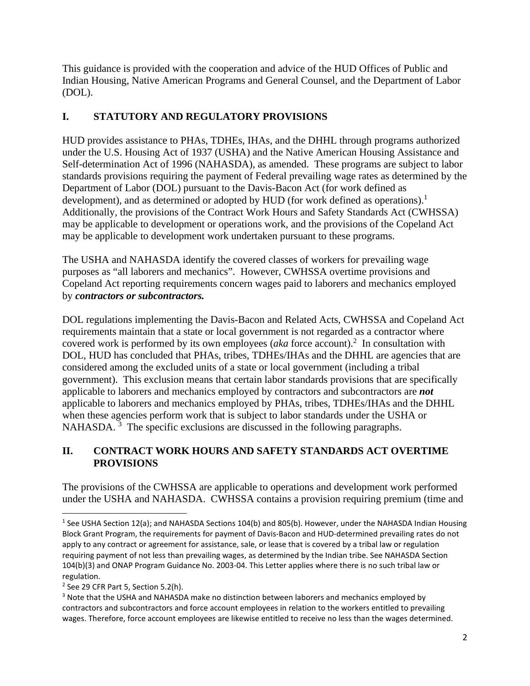This guidance is provided with the cooperation and advice of the HUD Offices of Public and Indian Housing, Native American Programs and General Counsel, and the Department of Labor (DOL).

## **I. STATUTORY AND REGULATORY PROVISIONS**

HUD provides assistance to PHAs, TDHEs, IHAs, and the DHHL through programs authorized under the U.S. Housing Act of 1937 (USHA) and the Native American Housing Assistance and Self-determination Act of 1996 (NAHASDA), as amended. These programs are subject to labor standards provisions requiring the payment of Federal prevailing wage rates as determined by the Department of Labor (DOL) pursuant to the Davis-Bacon Act (for work defined as development), and as determined or adopted by HUD (for work defined as operations).<sup>1</sup> Additionally, the provisions of the Contract Work Hours and Safety Standards Act (CWHSSA) may be applicable to development or operations work, and the provisions of the Copeland Act may be applicable to development work undertaken pursuant to these programs.

The USHA and NAHASDA identify the covered classes of workers for prevailing wage purposes as "all laborers and mechanics". However, CWHSSA overtime provisions and Copeland Act reporting requirements concern wages paid to laborers and mechanics employed by *contractors or subcontractors.* 

DOL regulations implementing the Davis-Bacon and Related Acts, CWHSSA and Copeland Act requirements maintain that a state or local government is not regarded as a contractor where covered work is performed by its own employees ( $aka$  force account).<sup>2</sup> In consultation with DOL, HUD has concluded that PHAs, tribes, TDHEs/IHAs and the DHHL are agencies that are considered among the excluded units of a state or local government (including a tribal government). This exclusion means that certain labor standards provisions that are specifically applicable to laborers and mechanics employed by contractors and subcontractors are *not* applicable to laborers and mechanics employed by PHAs, tribes, TDHEs/IHAs and the DHHL when these agencies perform work that is subject to labor standards under the USHA or NAHASDA.<sup>3</sup> The specific exclusions are discussed in the following paragraphs.

## **II. CONTRACT WORK HOURS AND SAFETY STANDARDS ACT OVERTIME PROVISIONS**

The provisions of the CWHSSA are applicable to operations and development work performed under the USHA and NAHASDA. CWHSSA contains a provision requiring premium (time and

<sup>&</sup>lt;sup>1</sup> See USHA Section 12(a); and NAHASDA Sections 104(b) and 805(b). However, under the NAHASDA Indian Housing Block Grant Program, the requirements for payment of Davis-Bacon and HUD-determined prevailing rates do not apply to any contract or agreement for assistance, sale, or lease that is covered by a tribal law or regulation requiring payment of not less than prevailing wages, as determined by the Indian tribe. See NAHASDA Section 104(b)(3) and ONAP Program Guidance No. 2003-04. This Letter applies where there is no such tribal law or regulation.

 $2$  See 29 CFR Part 5, Section 5.2(h).

<sup>&</sup>lt;sup>3</sup> Note that the USHA and NAHASDA make no distinction between laborers and mechanics employed by contractors and subcontractors and force account employees in relation to the workers entitled to prevailing wages. Therefore, force account employees are likewise entitled to receive no less than the wages determined.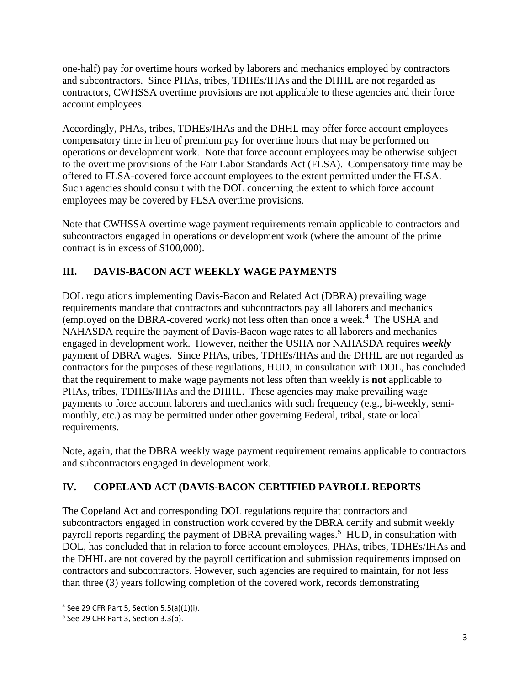one-half) pay for overtime hours worked by laborers and mechanics employed by contractors and subcontractors. Since PHAs, tribes, TDHEs/IHAs and the DHHL are not regarded as contractors, CWHSSA overtime provisions are not applicable to these agencies and their force account employees.

Accordingly, PHAs, tribes, TDHEs/IHAs and the DHHL may offer force account employees compensatory time in lieu of premium pay for overtime hours that may be performed on operations or development work. Note that force account employees may be otherwise subject to the overtime provisions of the Fair Labor Standards Act (FLSA). Compensatory time may be offered to FLSA-covered force account employees to the extent permitted under the FLSA. Such agencies should consult with the DOL concerning the extent to which force account employees may be covered by FLSA overtime provisions.

Note that CWHSSA overtime wage payment requirements remain applicable to contractors and subcontractors engaged in operations or development work (where the amount of the prime contract is in excess of \$100,000).

## **III. DAVIS-BACON ACT WEEKLY WAGE PAYMENTS**

DOL regulations implementing Davis-Bacon and Related Act (DBRA) prevailing wage requirements mandate that contractors and subcontractors pay all laborers and mechanics (employed on the DBRA-covered work) not less often than once a week.<sup>4</sup> The USHA and NAHASDA require the payment of Davis-Bacon wage rates to all laborers and mechanics engaged in development work. However, neither the USHA nor NAHASDA requires *weekly* payment of DBRA wages. Since PHAs, tribes, TDHEs/IHAs and the DHHL are not regarded as contractors for the purposes of these regulations, HUD, in consultation with DOL, has concluded that the requirement to make wage payments not less often than weekly is **not** applicable to PHAs, tribes, TDHEs/IHAs and the DHHL. These agencies may make prevailing wage payments to force account laborers and mechanics with such frequency (e.g., bi-weekly, semimonthly, etc.) as may be permitted under other governing Federal, tribal, state or local requirements.

Note, again, that the DBRA weekly wage payment requirement remains applicable to contractors and subcontractors engaged in development work.

## **IV. COPELAND ACT (DAVIS-BACON CERTIFIED PAYROLL REPORTS**

The Copeland Act and corresponding DOL regulations require that contractors and subcontractors engaged in construction work covered by the DBRA certify and submit weekly payroll reports regarding the payment of DBRA prevailing wages.<sup>5</sup> HUD, in consultation with DOL, has concluded that in relation to force account employees, PHAs, tribes, TDHEs/IHAs and the DHHL are not covered by the payroll certification and submission requirements imposed on contractors and subcontractors. However, such agencies are required to maintain, for not less than three (3) years following completion of the covered work, records demonstrating

<sup>4</sup> See 29 CFR Part 5, Section 5.5(a)(1)(i).

 $<sup>5</sup>$  See 29 CFR Part 3, Section 3.3(b).</sup>